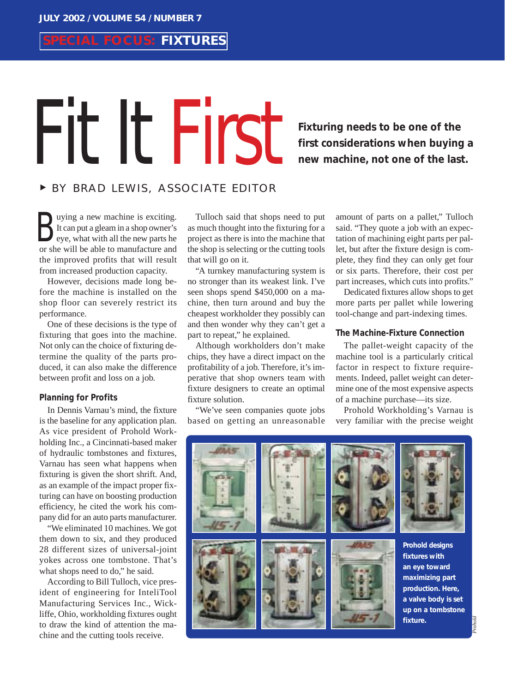# **SPECIAL FOCUS: FIXTURES**

# Fixturing needs to be one of the<br>first considerations when buying<br>new machine, not one of the last

# **first considerations when buying a new machine, not one of the last.**

### <sup>❿</sup> BY BRAD LEWIS, ASSOCIATE EDITOR

uying a new machine is exciting. It can put a gleam in a shop owner's Using a new machine is exciting.<br>It can put a gleam in a shop owner's<br>eye, what with all the new parts he<br>or she will be able to manufacture and or she will be able to manufacture and the improved profits that will result from increased production capacity.

However, decisions made long before the machine is installed on the shop floor can severely restrict its performance.

One of these decisions is the type of fixturing that goes into the machine. Not only can the choice of fixturing determine the quality of the parts produced, it can also make the difference between profit and loss on a job.

#### **Planning for Profits**

In Dennis Varnau's mind, the fixture is the baseline for any application plan. As vice president of Prohold Workholding Inc., a Cincinnati-based maker of hydraulic tombstones and fixtures, Varnau has seen what happens when fixturing is given the short shrift. And, as an example of the impact proper fixturing can have on boosting production efficiency, he cited the work his company did for an auto parts manufacturer.

"We eliminated 10 machines. We got them down to six, and they produced 28 different sizes of universal-joint yokes across one tombstone. That's what shops need to do," he said.

According to Bill Tulloch, vice president of engineering for InteliTool Manufacturing Services Inc., Wickliffe, Ohio, workholding fixtures ought to draw the kind of attention the machine and the cutting tools receive.

Tulloch said that shops need to put as much thought into the fixturing for a project as there is into the machine that the shop is selecting or the cutting tools that will go on it.

"A turnkey manufacturing system is no stronger than its weakest link. I've seen shops spend \$450,000 on a machine, then turn around and buy the cheapest workholder they possibly can and then wonder why they can't get a part to repeat," he explained.

Although workholders don't make chips, they have a direct impact on the profitability of a job. Therefore, it's imperative that shop owners team with fixture designers to create an optimal fixture solution.

"We've seen companies quote jobs based on getting an unreasonable

amount of parts on a pallet," Tulloch said. "They quote a job with an expectation of machining eight parts per pallet, but after the fixture design is complete, they find they can only get four or six parts. Therefore, their cost per part increases, which cuts into profits."

Dedicated fixtures allow shops to get more parts per pallet while lowering tool-change and part-indexing times.

#### **The Machine-Fixture Connection**

The pallet-weight capacity of the machine tool is a particularly critical factor in respect to fixture requirements. Indeed, pallet weight can determine one of the most expensive aspects of a machine purchase—its size.

Prohold Workholding's Varnau is very familiar with the precise weight

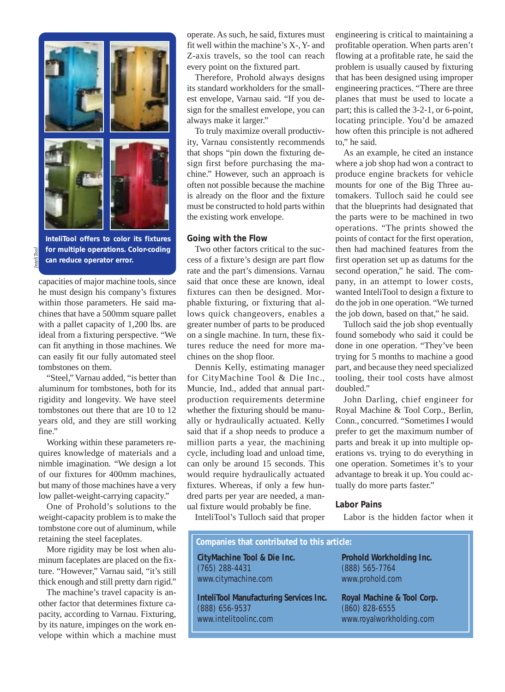

**InteliTool offers to color its fixtures for multiple operations. Color-coding can reduce operator error.** 

capacities of major machine tools, since he must design his company's fixtures within those parameters. He said machines that have a 500mm square pallet with a pallet capacity of 1,200 lbs. are ideal from a fixturing perspective. "We can fit anything in those machines. We can easily fit our fully automated steel tombstones on them.

"Steel," Varnau added, "is better than aluminum for tombstones, both for its rigidity and longevity. We have steel tombstones out there that are 10 to 12 years old, and they are still working fine."

Working within these parameters requires knowledge of materials and a nimble imagination. "We design a lot of our fixtures for 400mm machines, but many of those machines have a very low pallet-weight-carrying capacity."

One of Prohold's solutions to the weight-capacity problem is to make the tombstone core out of aluminum, while retaining the steel faceplates.

More rigidity may be lost when aluminum faceplates are placed on the fixture. "However," Varnau said, "it's still thick enough and still pretty darn rigid."

The machine's travel capacity is another factor that determines fixture capacity, according to Varnau. Fixturing, by its nature, impinges on the work envelope within which a machine must operate. As such, he said, fixtures must fit well within the machine's X-,Y- and Z-axis travels, so the tool can reach every point on the fixtured part.

Therefore, Prohold always designs its standard workholders for the smallest envelope, Varnau said. "If you design for the smallest envelope, you can always make it larger."

To truly maximize overall productivity, Varnau consistently recommends that shops "pin down the fixturing design first before purchasing the machine." However, such an approach is often not possible because the machine is already on the floor and the fixture must be constructed to hold parts within the existing work envelope.

#### **Going with the Flow**

Two other factors critical to the success of a fixture's design are part flow rate and the part's dimensions. Varnau said that once these are known, ideal fixtures can then be designed. Morphable fixturing, or fixturing that allows quick changeovers, enables a greater number of parts to be produced on a single machine. In turn, these fixtures reduce the need for more machines on the shop floor.

Dennis Kelly, estimating manager for CityMachine Tool & Die Inc., Muncie, Ind., added that annual partproduction requirements determine whether the fixturing should be manually or hydraulically actuated. Kelly said that if a shop needs to produce a million parts a year, the machining cycle, including load and unload time, can only be around 15 seconds. This would require hydraulically actuated fixtures. Whereas, if only a few hundred parts per year are needed, a manual fixture would probably be fine.

InteliTool's Tulloch said that proper

engineering is critical to maintaining a profitable operation. When parts aren't flowing at a profitable rate, he said the problem is usually caused by fixturing that has been designed using improper engineering practices. "There are three planes that must be used to locate a part; this is called the 3-2-1, or 6-point, locating principle. You'd be amazed how often this principle is not adhered to," he said.

As an example, he cited an instance where a job shop had won a contract to produce engine brackets for vehicle mounts for one of the Big Three automakers. Tulloch said he could see that the blueprints had designated that the parts were to be machined in two operations. "The prints showed the points of contact for the first operation, then had machined features from the first operation set up as datums for the second operation," he said. The company, in an attempt to lower costs, wanted InteliTool to design a fixture to do the job in one operation. "We turned the job down, based on that," he said.

Tulloch said the job shop eventually found somebody who said it could be done in one operation. "They've been trying for 5 months to machine a good part, and because they need specialized tooling, their tool costs have almost doubled."

John Darling, chief engineer for Royal Machine & Tool Corp., Berlin, Conn., concurred. "Sometimes I would prefer to get the maximum number of parts and break it up into multiple operations vs. trying to do everything in one operation. Sometimes it's to your advantage to break it up. You could actually do more parts faster."

#### **Labor Pains**

Labor is the hidden factor when it

# **CityMachine Tool & Die Inc. Companies that contributed to this article:**

(765) 288-4431 www.citymachine.com

**InteliTool Manufacturing Services Inc.** (888) 656-9537 www.intelitoolinc.com

**Prohold Workholding Inc.** (888) 565-7764 www.prohold.com

**Royal Machine & Tool Corp.** (860) 828-6555 www.royalworkholding.com